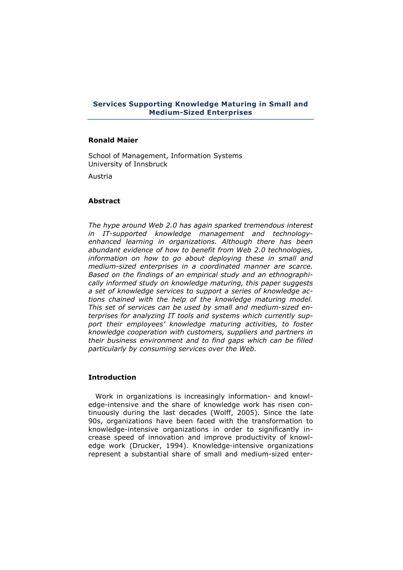# Services Supporting Knowledge Maturing in Small and Medium-Sized Enterprises

# Ronald Maier

School of Management, Information Systems University of Innsbruck

Austria

## Abstract

The hype around Web 2.0 has again sparked tremendous interest in IT-supported knowledge management and technologyenhanced learning in organizations. Although there has been abundant evidence of how to benefit from Web 2.0 technologies, information on how to go about deploying these in small and medium-sized enterprises in a coordinated manner are scarce. Based on the findings of an empirical study and an ethnographically informed study on knowledge maturing, this paper suggests a set of knowledge services to support a series of knowledge actions chained with the help of the knowledge maturing model. This set of services can be used by small and medium-sized enterprises for analyzing IT tools and systems which currently support their employees' knowledge maturing activities, to foster knowledge cooperation with customers, suppliers and partners in their business environment and to find gaps which can be filled particularly by consuming services over the Web.

# **Introduction**

 Work in organizations is increasingly information- and knowledge-intensive and the share of knowledge work has risen continuously during the last decades (Wolff, 2005). Since the late 90s, organizations have been faced with the transformation to knowledge-intensive organizations in order to significantly increase speed of innovation and improve productivity of knowledge work (Drucker, 1994). Knowledge-intensive organizations represent a substantial share of small and medium-sized enter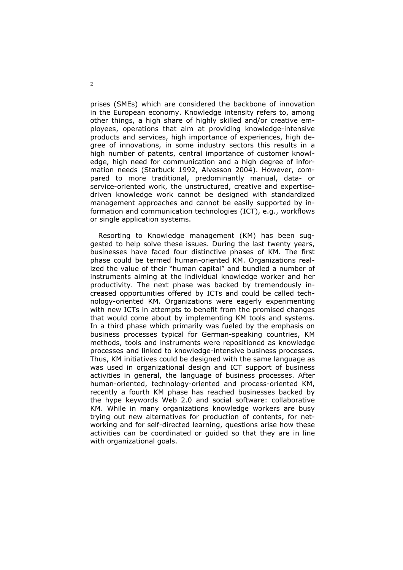prises (SMEs) which are considered the backbone of innovation in the European economy. Knowledge intensity refers to, among other things, a high share of highly skilled and/or creative employees, operations that aim at providing knowledge-intensive products and services, high importance of experiences, high degree of innovations, in some industry sectors this results in a high number of patents, central importance of customer knowledge, high need for communication and a high degree of information needs (Starbuck 1992, Alvesson 2004). However, compared to more traditional, predominantly manual, data- or service-oriented work, the unstructured, creative and expertisedriven knowledge work cannot be designed with standardized management approaches and cannot be easily supported by information and communication technologies (ICT), e.g., workflows or single application systems.

Resorting to Knowledge management (KM) has been suggested to help solve these issues. During the last twenty years, businesses have faced four distinctive phases of KM. The first phase could be termed human-oriented KM. Organizations realized the value of their "human capital" and bundled a number of instruments aiming at the individual knowledge worker and her productivity. The next phase was backed by tremendously increased opportunities offered by ICTs and could be called technology-oriented KM. Organizations were eagerly experimenting with new ICTs in attempts to benefit from the promised changes that would come about by implementing KM tools and systems. In a third phase which primarily was fueled by the emphasis on business processes typical for German-speaking countries, KM methods, tools and instruments were repositioned as knowledge processes and linked to knowledge-intensive business processes. Thus, KM initiatives could be designed with the same language as was used in organizational design and ICT support of business activities in general, the language of business processes. After human-oriented, technology-oriented and process-oriented KM, recently a fourth KM phase has reached businesses backed by the hype keywords Web 2.0 and social software: collaborative KM. While in many organizations knowledge workers are busy trying out new alternatives for production of contents, for networking and for self-directed learning, questions arise how these activities can be coordinated or guided so that they are in line with organizational goals.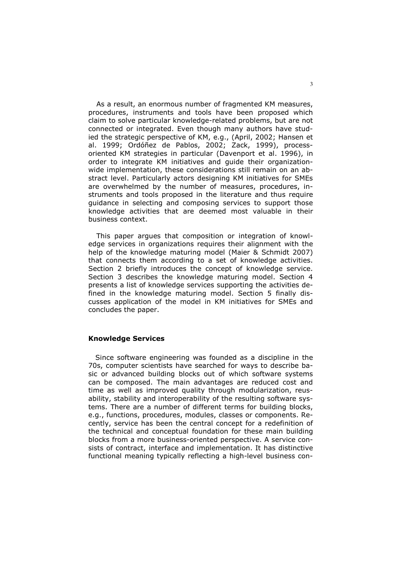As a result, an enormous number of fragmented KM measures, procedures, instruments and tools have been proposed which claim to solve particular knowledge-related problems, but are not connected or integrated. Even though many authors have studied the strategic perspective of KM, e.g., (April, 2002; Hansen et al. 1999; Ordóñez de Pablos, 2002; Zack, 1999), processoriented KM strategies in particular (Davenport et al. 1996), in order to integrate KM initiatives and guide their organizationwide implementation, these considerations still remain on an abstract level. Particularly actors designing KM initiatives for SMEs are overwhelmed by the number of measures, procedures, instruments and tools proposed in the literature and thus require guidance in selecting and composing services to support those knowledge activities that are deemed most valuable in their business context.

This paper argues that composition or integration of knowledge services in organizations requires their alignment with the help of the knowledge maturing model (Maier & Schmidt 2007) that connects them according to a set of knowledge activities. Section 2 briefly introduces the concept of knowledge service. Section 3 describes the knowledge maturing model. Section 4 presents a list of knowledge services supporting the activities defined in the knowledge maturing model. Section 5 finally discusses application of the model in KM initiatives for SMEs and concludes the paper.

## Knowledge Services

 Since software engineering was founded as a discipline in the 70s, computer scientists have searched for ways to describe basic or advanced building blocks out of which software systems can be composed. The main advantages are reduced cost and time as well as improved quality through modularization, reusability, stability and interoperability of the resulting software systems. There are a number of different terms for building blocks, e.g., functions, procedures, modules, classes or components. Recently, service has been the central concept for a redefinition of the technical and conceptual foundation for these main building blocks from a more business-oriented perspective. A service consists of contract, interface and implementation. It has distinctive functional meaning typically reflecting a high-level business con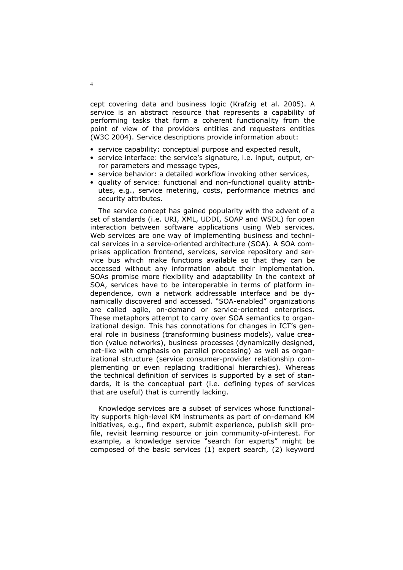cept covering data and business logic (Krafzig et al. 2005). A service is an abstract resource that represents a capability of performing tasks that form a coherent functionality from the point of view of the providers entities and requesters entities (W3C 2004). Service descriptions provide information about:

- service capability: conceptual purpose and expected result,
- service interface: the service's signature, i.e. input, output, error parameters and message types,
- service behavior: a detailed workflow invoking other services,
- quality of service: functional and non-functional quality attributes, e.g., service metering, costs, performance metrics and security attributes.

The service concept has gained popularity with the advent of a set of standards (i.e. URI, XML, UDDI, SOAP and WSDL) for open interaction between software applications using Web services. Web services are one way of implementing business and technical services in a service-oriented architecture (SOA). A SOA comprises application frontend, services, service repository and service bus which make functions available so that they can be accessed without any information about their implementation. SOAs promise more flexibility and adaptability In the context of SOA, services have to be interoperable in terms of platform independence, own a network addressable interface and be dynamically discovered and accessed. "SOA-enabled" organizations are called agile, on-demand or service-oriented enterprises. These metaphors attempt to carry over SOA semantics to organizational design. This has connotations for changes in ICT's general role in business (transforming business models), value creation (value networks), business processes (dynamically designed, net-like with emphasis on parallel processing) as well as organizational structure (service consumer-provider relationship complementing or even replacing traditional hierarchies). Whereas the technical definition of services is supported by a set of standards, it is the conceptual part (i.e. defining types of services that are useful) that is currently lacking.

Knowledge services are a subset of services whose functionality supports high-level KM instruments as part of on-demand KM initiatives, e.g., find expert, submit experience, publish skill profile, revisit learning resource or join community-of-interest. For example, a knowledge service "search for experts" might be composed of the basic services (1) expert search, (2) keyword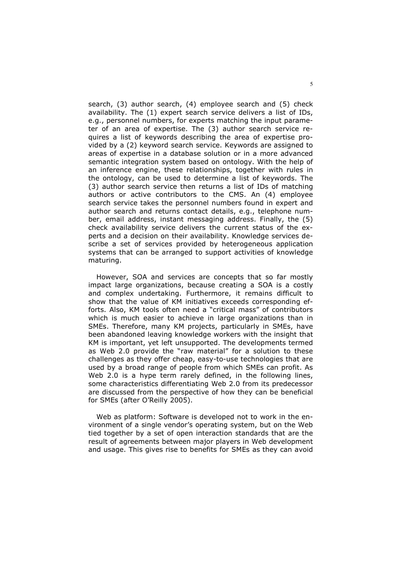search, (3) author search, (4) employee search and (5) check availability. The (1) expert search service delivers a list of IDs, e.g., personnel numbers, for experts matching the input parameter of an area of expertise. The (3) author search service requires a list of keywords describing the area of expertise provided by a (2) keyword search service. Keywords are assigned to areas of expertise in a database solution or in a more advanced semantic integration system based on ontology. With the help of an inference engine, these relationships, together with rules in the ontology, can be used to determine a list of keywords. The (3) author search service then returns a list of IDs of matching authors or active contributors to the CMS. An (4) employee search service takes the personnel numbers found in expert and author search and returns contact details, e.g., telephone number, email address, instant messaging address. Finally, the (5) check availability service delivers the current status of the experts and a decision on their availability. Knowledge services describe a set of services provided by heterogeneous application systems that can be arranged to support activities of knowledge maturing.

However, SOA and services are concepts that so far mostly impact large organizations, because creating a SOA is a costly and complex undertaking. Furthermore, it remains difficult to show that the value of KM initiatives exceeds corresponding efforts. Also, KM tools often need a "critical mass" of contributors which is much easier to achieve in large organizations than in SMEs. Therefore, many KM projects, particularly in SMEs, have been abandoned leaving knowledge workers with the insight that KM is important, yet left unsupported. The developments termed as Web 2.0 provide the "raw material" for a solution to these challenges as they offer cheap, easy-to-use technologies that are used by a broad range of people from which SMEs can profit. As Web 2.0 is a hype term rarely defined, in the following lines, some characteristics differentiating Web 2.0 from its predecessor are discussed from the perspective of how they can be beneficial for SMEs (after O'Reilly 2005).

Web as platform: Software is developed not to work in the environment of a single vendor's operating system, but on the Web tied together by a set of open interaction standards that are the result of agreements between major players in Web development and usage. This gives rise to benefits for SMEs as they can avoid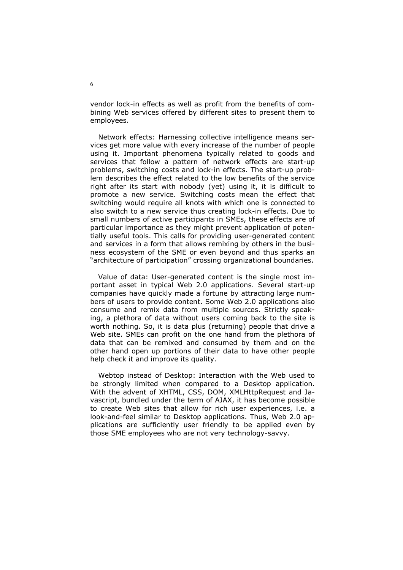vendor lock-in effects as well as profit from the benefits of combining Web services offered by different sites to present them to employees.

Network effects: Harnessing collective intelligence means services get more value with every increase of the number of people using it. Important phenomena typically related to goods and services that follow a pattern of network effects are start-up problems, switching costs and lock-in effects. The start-up problem describes the effect related to the low benefits of the service right after its start with nobody (yet) using it, it is difficult to promote a new service. Switching costs mean the effect that switching would require all knots with which one is connected to also switch to a new service thus creating lock-in effects. Due to small numbers of active participants in SMEs, these effects are of particular importance as they might prevent application of potentially useful tools. This calls for providing user-generated content and services in a form that allows remixing by others in the business ecosystem of the SME or even beyond and thus sparks an "architecture of participation" crossing organizational boundaries.

Value of data: User-generated content is the single most important asset in typical Web 2.0 applications. Several start-up companies have quickly made a fortune by attracting large numbers of users to provide content. Some Web 2.0 applications also consume and remix data from multiple sources. Strictly speaking, a plethora of data without users coming back to the site is worth nothing. So, it is data plus (returning) people that drive a Web site. SMEs can profit on the one hand from the plethora of data that can be remixed and consumed by them and on the other hand open up portions of their data to have other people help check it and improve its quality.

Webtop instead of Desktop: Interaction with the Web used to be strongly limited when compared to a Desktop application. With the advent of XHTML, CSS, DOM, XMLHttpRequest and Javascript, bundled under the term of AJAX, it has become possible to create Web sites that allow for rich user experiences, i.e. a look-and-feel similar to Desktop applications. Thus, Web 2.0 applications are sufficiently user friendly to be applied even by those SME employees who are not very technology-savvy.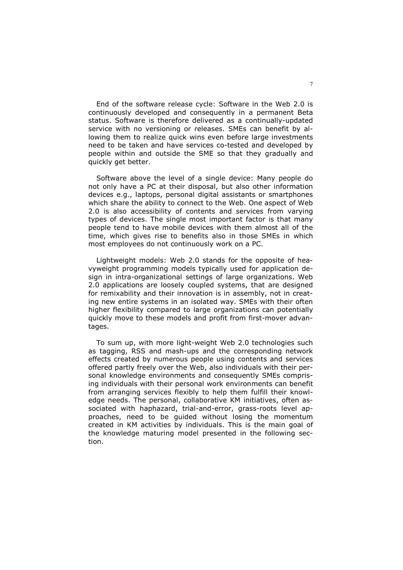End of the software release cycle: Software in the Web 2.0 is continuously developed and consequently in a permanent Beta status. Software is therefore delivered as a continually-updated service with no versioning or releases. SMEs can benefit by allowing them to realize quick wins even before large investments need to be taken and have services co-tested and developed by people within and outside the SME so that they gradually and quickly get better.

Software above the level of a single device: Many people do not only have a PC at their disposal, but also other information devices e.g., laptops, personal digital assistants or smartphones which share the ability to connect to the Web. One aspect of Web 2.0 is also accessibility of contents and services from varying types of devices. The single most important factor is that many people tend to have mobile devices with them almost all of the time, which gives rise to benefits also in those SMEs in which most employees do not continuously work on a PC.

Lightweight models: Web 2.0 stands for the opposite of heavyweight programming models typically used for application design in intra-organizational settings of large organizations. Web 2.0 applications are loosely coupled systems, that are designed for remixability and their innovation is in assembly, not in creating new entire systems in an isolated way. SMEs with their often higher flexibility compared to large organizations can potentially quickly move to these models and profit from first-mover advantages.

To sum up, with more light-weight Web 2.0 technologies such as tagging, RSS and mash-ups and the corresponding network effects created by numerous people using contents and services offered partly freely over the Web, also individuals with their personal knowledge environments and consequently SMEs comprising individuals with their personal work environments can benefit from arranging services flexibly to help them fulfill their knowledge needs. The personal, collaborative KM initiatives, often associated with haphazard, trial-and-error, grass-roots level approaches, need to be guided without losing the momentum created in KM activities by individuals. This is the main goal of the knowledge maturing model presented in the following section.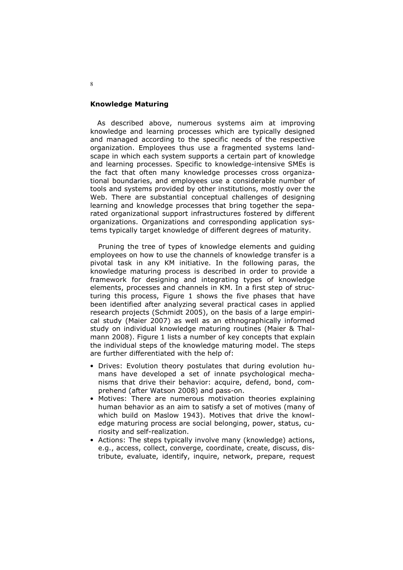### Knowledge Maturing

 As described above, numerous systems aim at improving knowledge and learning processes which are typically designed and managed according to the specific needs of the respective organization. Employees thus use a fragmented systems landscape in which each system supports a certain part of knowledge and learning processes. Specific to knowledge-intensive SMEs is the fact that often many knowledge processes cross organizational boundaries, and employees use a considerable number of tools and systems provided by other institutions, mostly over the Web. There are substantial conceptual challenges of designing learning and knowledge processes that bring together the separated organizational support infrastructures fostered by different organizations. Organizations and corresponding application systems typically target knowledge of different degrees of maturity.

Pruning the tree of types of knowledge elements and guiding employees on how to use the channels of knowledge transfer is a pivotal task in any KM initiative. In the following paras, the knowledge maturing process is described in order to provide a framework for designing and integrating types of knowledge elements, processes and channels in KM. In a first step of structuring this process, Figure 1 shows the five phases that have been identified after analyzing several practical cases in applied research projects (Schmidt 2005), on the basis of a large empirical study (Maier 2007) as well as an ethnographically informed study on individual knowledge maturing routines (Maier & Thalmann 2008). Figure 1 lists a number of key concepts that explain the individual steps of the knowledge maturing model. The steps are further differentiated with the help of:

- Drives: Evolution theory postulates that during evolution humans have developed a set of innate psychological mechanisms that drive their behavior: acquire, defend, bond, comprehend (after Watson 2008) and pass-on.
- Motives: There are numerous motivation theories explaining human behavior as an aim to satisfy a set of motives (many of which build on Maslow 1943). Motives that drive the knowledge maturing process are social belonging, power, status, curiosity and self-realization.
- Actions: The steps typically involve many (knowledge) actions, e.g., access, collect, converge, coordinate, create, discuss, distribute, evaluate, identify, inquire, network, prepare, request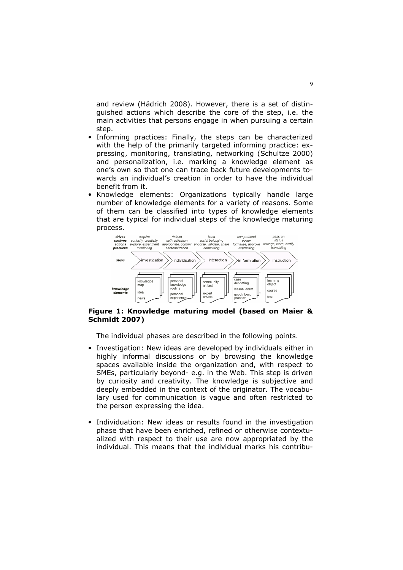and review (Hädrich 2008). However, there is a set of distinguished actions which describe the core of the step, i.e. the main activities that persons engage in when pursuing a certain step.

- Informing practices: Finally, the steps can be characterized with the help of the primarily targeted informing practice: expressing, monitoring, translating, networking (Schultze 2000) and personalization, i.e. marking a knowledge element as one's own so that one can trace back future developments towards an individual's creation in order to have the individual benefit from it.
- Knowledge elements: Organizations typically handle large number of knowledge elements for a variety of reasons. Some of them can be classified into types of knowledge elements that are typical for individual steps of the knowledge maturing process.



### Figure 1: Knowledge maturing model (based on Maier & Schmidt 2007)

The individual phases are described in the following points.

- Investigation: New ideas are developed by individuals either in highly informal discussions or by browsing the knowledge spaces available inside the organization and, with respect to SMEs, particularly beyond- e.g. in the Web. This step is driven by curiosity and creativity. The knowledge is subjective and deeply embedded in the context of the originator. The vocabulary used for communication is vague and often restricted to the person expressing the idea.
- Individuation: New ideas or results found in the investigation phase that have been enriched, refined or otherwise contextualized with respect to their use are now appropriated by the individual. This means that the individual marks his contribu-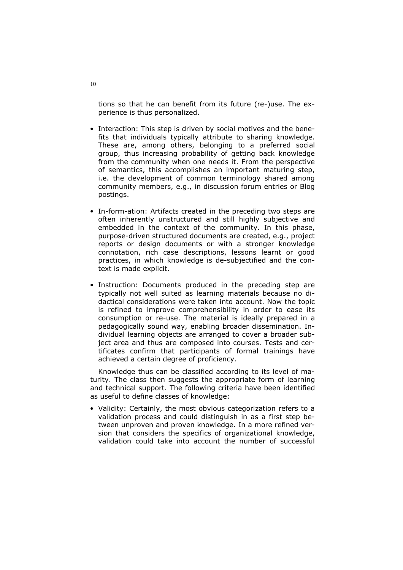tions so that he can benefit from its future (re-)use. The experience is thus personalized.

- Interaction: This step is driven by social motives and the benefits that individuals typically attribute to sharing knowledge. These are, among others, belonging to a preferred social group, thus increasing probability of getting back knowledge from the community when one needs it. From the perspective of semantics, this accomplishes an important maturing step, i.e. the development of common terminology shared among community members, e.g., in discussion forum entries or Blog postings.
- In-form-ation: Artifacts created in the preceding two steps are often inherently unstructured and still highly subjective and embedded in the context of the community. In this phase, purpose-driven structured documents are created, e.g., project reports or design documents or with a stronger knowledge connotation, rich case descriptions, lessons learnt or good practices, in which knowledge is de-subjectified and the context is made explicit.
- Instruction: Documents produced in the preceding step are typically not well suited as learning materials because no didactical considerations were taken into account. Now the topic is refined to improve comprehensibility in order to ease its consumption or re-use. The material is ideally prepared in a pedagogically sound way, enabling broader dissemination. Individual learning objects are arranged to cover a broader subject area and thus are composed into courses. Tests and certificates confirm that participants of formal trainings have achieved a certain degree of proficiency.

Knowledge thus can be classified according to its level of maturity. The class then suggests the appropriate form of learning and technical support. The following criteria have been identified as useful to define classes of knowledge:

• Validity: Certainly, the most obvious categorization refers to a validation process and could distinguish in as a first step between unproven and proven knowledge. In a more refined version that considers the specifics of organizational knowledge, validation could take into account the number of successful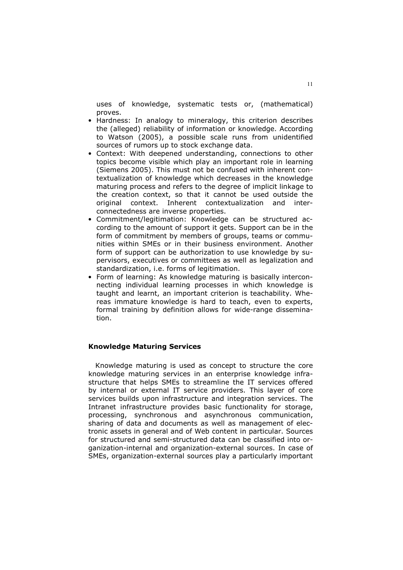uses of knowledge, systematic tests or, (mathematical) proves.

- Hardness: In analogy to mineralogy, this criterion describes the (alleged) reliability of information or knowledge. According to Watson (2005), a possible scale runs from unidentified sources of rumors up to stock exchange data.
- Context: With deepened understanding, connections to other topics become visible which play an important role in learning (Siemens 2005). This must not be confused with inherent contextualization of knowledge which decreases in the knowledge maturing process and refers to the degree of implicit linkage to the creation context, so that it cannot be used outside the original context. Inherent contextualization and interconnectedness are inverse properties.
- Commitment/legitimation: Knowledge can be structured according to the amount of support it gets. Support can be in the form of commitment by members of groups, teams or communities within SMEs or in their business environment. Another form of support can be authorization to use knowledge by supervisors, executives or committees as well as legalization and standardization, i.e. forms of legitimation.
- Form of learning: As knowledge maturing is basically interconnecting individual learning processes in which knowledge is taught and learnt, an important criterion is teachability. Whereas immature knowledge is hard to teach, even to experts, formal training by definition allows for wide-range dissemination.

### Knowledge Maturing Services

 Knowledge maturing is used as concept to structure the core knowledge maturing services in an enterprise knowledge infrastructure that helps SMEs to streamline the IT services offered by internal or external IT service providers. This layer of core services builds upon infrastructure and integration services. The Intranet infrastructure provides basic functionality for storage, processing, synchronous and asynchronous communication, sharing of data and documents as well as management of electronic assets in general and of Web content in particular. Sources for structured and semi-structured data can be classified into organization-internal and organization-external sources. In case of SMEs, organization-external sources play a particularly important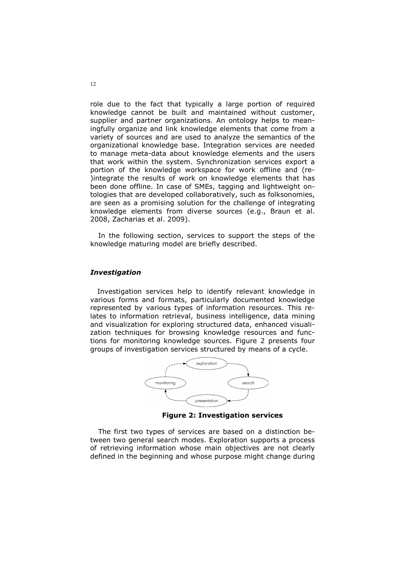role due to the fact that typically a large portion of required knowledge cannot be built and maintained without customer, supplier and partner organizations. An ontology helps to meaningfully organize and link knowledge elements that come from a variety of sources and are used to analyze the semantics of the organizational knowledge base. Integration services are needed to manage meta-data about knowledge elements and the users that work within the system. Synchronization services export a portion of the knowledge workspace for work offline and (re- )integrate the results of work on knowledge elements that has been done offline. In case of SMEs, tagging and lightweight ontologies that are developed collaboratively, such as folksonomies, are seen as a promising solution for the challenge of integrating knowledge elements from diverse sources (e.g., Braun et al. 2008, Zacharias et al. 2009).

In the following section, services to support the steps of the knowledge maturing model are briefly described.

### Investigation

 Investigation services help to identify relevant knowledge in various forms and formats, particularly documented knowledge represented by various types of information resources. This relates to information retrieval, business intelligence, data mining and visualization for exploring structured data, enhanced visualization techniques for browsing knowledge resources and functions for monitoring knowledge sources. Figure 2 presents four groups of investigation services structured by means of a cycle.



Figure 2: Investigation services

The first two types of services are based on a distinction between two general search modes. Exploration supports a process of retrieving information whose main objectives are not clearly defined in the beginning and whose purpose might change during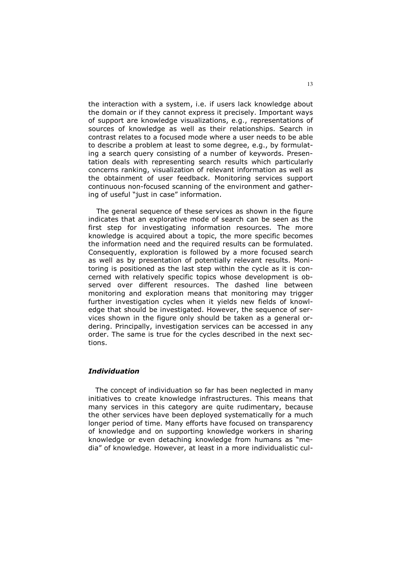the interaction with a system, i.e. if users lack knowledge about the domain or if they cannot express it precisely. Important ways of support are knowledge visualizations, e.g., representations of sources of knowledge as well as their relationships. Search in contrast relates to a focused mode where a user needs to be able to describe a problem at least to some degree, e.g., by formulating a search query consisting of a number of keywords. Presentation deals with representing search results which particularly concerns ranking, visualization of relevant information as well as the obtainment of user feedback. Monitoring services support continuous non-focused scanning of the environment and gathering of useful "just in case" information.

The general sequence of these services as shown in the figure indicates that an explorative mode of search can be seen as the first step for investigating information resources. The more knowledge is acquired about a topic, the more specific becomes the information need and the required results can be formulated. Consequently, exploration is followed by a more focused search as well as by presentation of potentially relevant results. Monitoring is positioned as the last step within the cycle as it is concerned with relatively specific topics whose development is observed over different resources. The dashed line between monitoring and exploration means that monitoring may trigger further investigation cycles when it yields new fields of knowledge that should be investigated. However, the sequence of services shown in the figure only should be taken as a general ordering. Principally, investigation services can be accessed in any order. The same is true for the cycles described in the next sections.

### Individuation

 The concept of individuation so far has been neglected in many initiatives to create knowledge infrastructures. This means that many services in this category are quite rudimentary, because the other services have been deployed systematically for a much longer period of time. Many efforts have focused on transparency of knowledge and on supporting knowledge workers in sharing knowledge or even detaching knowledge from humans as "media" of knowledge. However, at least in a more individualistic cul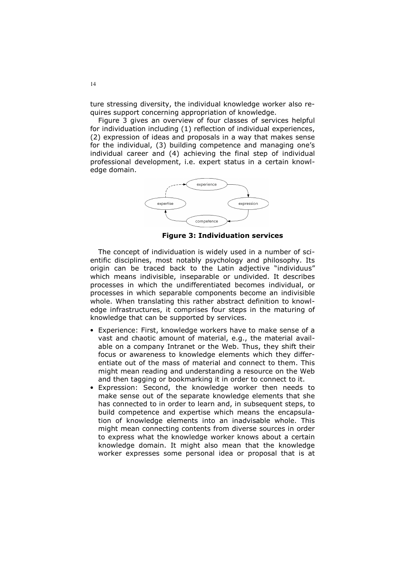ture stressing diversity, the individual knowledge worker also requires support concerning appropriation of knowledge.

Figure 3 gives an overview of four classes of services helpful for individuation including (1) reflection of individual experiences, (2) expression of ideas and proposals in a way that makes sense for the individual, (3) building competence and managing one's individual career and (4) achieving the final step of individual professional development, i.e. expert status in a certain knowledge domain.



Figure 3: Individuation services

The concept of individuation is widely used in a number of scientific disciplines, most notably psychology and philosophy. Its origin can be traced back to the Latin adjective "individuus" which means indivisible, inseparable or undivided. It describes processes in which the undifferentiated becomes individual, or processes in which separable components become an indivisible whole. When translating this rather abstract definition to knowledge infrastructures, it comprises four steps in the maturing of knowledge that can be supported by services.

- Experience: First, knowledge workers have to make sense of a vast and chaotic amount of material, e.g., the material available on a company Intranet or the Web. Thus, they shift their focus or awareness to knowledge elements which they differentiate out of the mass of material and connect to them. This might mean reading and understanding a resource on the Web and then tagging or bookmarking it in order to connect to it.
- Expression: Second, the knowledge worker then needs to make sense out of the separate knowledge elements that she has connected to in order to learn and, in subsequent steps, to build competence and expertise which means the encapsulation of knowledge elements into an inadvisable whole. This might mean connecting contents from diverse sources in order to express what the knowledge worker knows about a certain knowledge domain. It might also mean that the knowledge worker expresses some personal idea or proposal that is at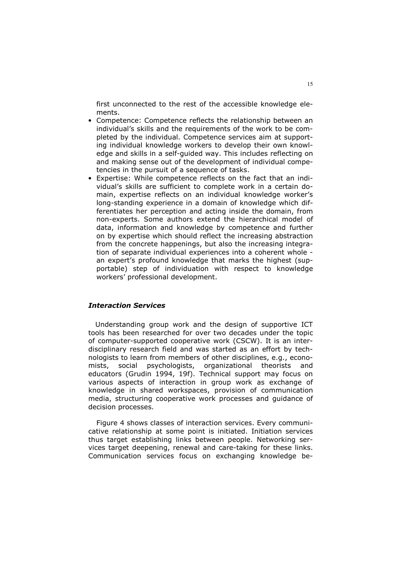first unconnected to the rest of the accessible knowledge elements.

- Competence: Competence reflects the relationship between an individual's skills and the requirements of the work to be completed by the individual. Competence services aim at supporting individual knowledge workers to develop their own knowledge and skills in a self-guided way. This includes reflecting on and making sense out of the development of individual competencies in the pursuit of a sequence of tasks.
- Expertise: While competence reflects on the fact that an individual's skills are sufficient to complete work in a certain domain, expertise reflects on an individual knowledge worker's long-standing experience in a domain of knowledge which differentiates her perception and acting inside the domain, from non-experts. Some authors extend the hierarchical model of data, information and knowledge by competence and further on by expertise which should reflect the increasing abstraction from the concrete happenings, but also the increasing integration of separate individual experiences into a coherent whole an expert's profound knowledge that marks the highest (supportable) step of individuation with respect to knowledge workers' professional development.

#### Interaction Services

 Understanding group work and the design of supportive ICT tools has been researched for over two decades under the topic of computer-supported cooperative work (CSCW). It is an interdisciplinary research field and was started as an effort by technologists to learn from members of other disciplines, e.g., economists, social psychologists, organizational theorists and educators (Grudin 1994, 19f). Technical support may focus on various aspects of interaction in group work as exchange of knowledge in shared workspaces, provision of communication media, structuring cooperative work processes and guidance of decision processes.

Figure 4 shows classes of interaction services. Every communicative relationship at some point is initiated. Initiation services thus target establishing links between people. Networking services target deepening, renewal and care-taking for these links. Communication services focus on exchanging knowledge be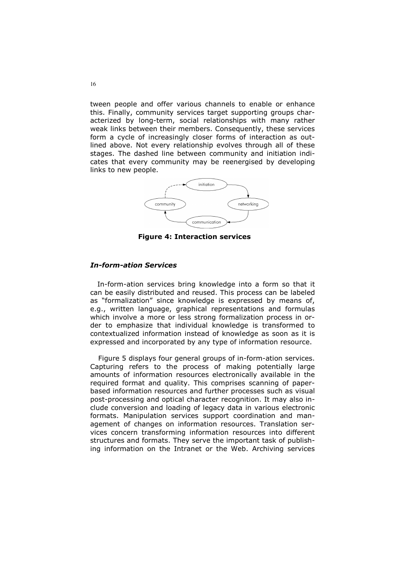tween people and offer various channels to enable or enhance this. Finally, community services target supporting groups characterized by long-term, social relationships with many rather weak links between their members. Consequently, these services form a cycle of increasingly closer forms of interaction as outlined above. Not every relationship evolves through all of these stages. The dashed line between community and initiation indicates that every community may be reenergised by developing links to new people.



Figure 4: Interaction services

## In-form-ation Services

 In-form-ation services bring knowledge into a form so that it can be easily distributed and reused. This process can be labeled as "formalization" since knowledge is expressed by means of, e.g., written language, graphical representations and formulas which involve a more or less strong formalization process in order to emphasize that individual knowledge is transformed to contextualized information instead of knowledge as soon as it is expressed and incorporated by any type of information resource.

Figure 5 displays four general groups of in-form-ation services. Capturing refers to the process of making potentially large amounts of information resources electronically available in the required format and quality. This comprises scanning of paperbased information resources and further processes such as visual post-processing and optical character recognition. It may also include conversion and loading of legacy data in various electronic formats. Manipulation services support coordination and management of changes on information resources. Translation services concern transforming information resources into different structures and formats. They serve the important task of publishing information on the Intranet or the Web. Archiving services

16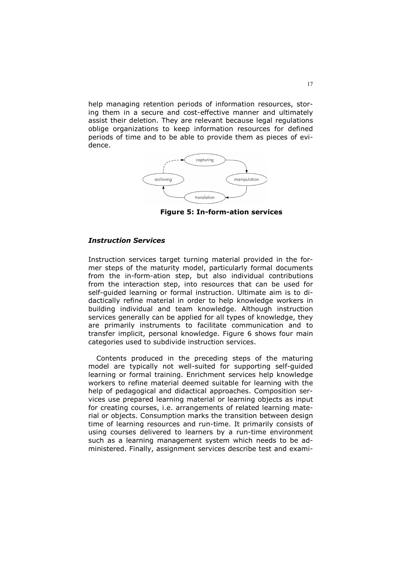help managing retention periods of information resources, storing them in a secure and cost-effective manner and ultimately assist their deletion. They are relevant because legal regulations oblige organizations to keep information resources for defined periods of time and to be able to provide them as pieces of evidence.



Figure 5: In-form-ation services

## Instruction Services

Instruction services target turning material provided in the former steps of the maturity model, particularly formal documents from the in-form-ation step, but also individual contributions from the interaction step, into resources that can be used for self-guided learning or formal instruction. Ultimate aim is to didactically refine material in order to help knowledge workers in building individual and team knowledge. Although instruction services generally can be applied for all types of knowledge, they are primarily instruments to facilitate communication and to transfer implicit, personal knowledge. Figure 6 shows four main categories used to subdivide instruction services.

Contents produced in the preceding steps of the maturing model are typically not well-suited for supporting self-guided learning or formal training. Enrichment services help knowledge workers to refine material deemed suitable for learning with the help of pedagogical and didactical approaches. Composition services use prepared learning material or learning objects as input for creating courses, i.e. arrangements of related learning material or objects. Consumption marks the transition between design time of learning resources and run-time. It primarily consists of using courses delivered to learners by a run-time environment such as a learning management system which needs to be administered. Finally, assignment services describe test and exami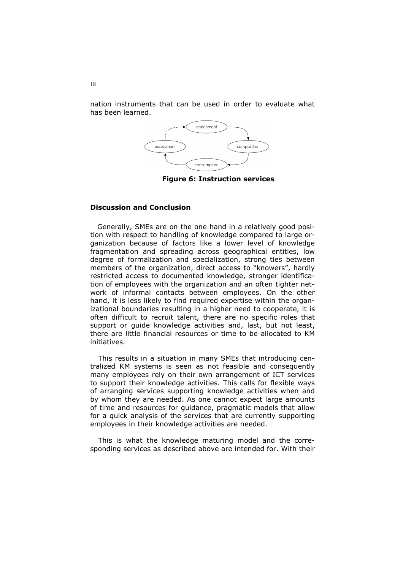nation instruments that can be used in order to evaluate what has been learned.



Figure 6: Instruction services

## Discussion and Conclusion

 Generally, SMEs are on the one hand in a relatively good position with respect to handling of knowledge compared to large organization because of factors like a lower level of knowledge fragmentation and spreading across geographical entities, low degree of formalization and specialization, strong ties between members of the organization, direct access to "knowers", hardly restricted access to documented knowledge, stronger identification of employees with the organization and an often tighter network of informal contacts between employees. On the other hand, it is less likely to find required expertise within the organizational boundaries resulting in a higher need to cooperate, it is often difficult to recruit talent, there are no specific roles that support or guide knowledge activities and, last, but not least, there are little financial resources or time to be allocated to KM initiatives.

This results in a situation in many SMEs that introducing centralized KM systems is seen as not feasible and consequently many employees rely on their own arrangement of ICT services to support their knowledge activities. This calls for flexible ways of arranging services supporting knowledge activities when and by whom they are needed. As one cannot expect large amounts of time and resources for guidance, pragmatic models that allow for a quick analysis of the services that are currently supporting employees in their knowledge activities are needed.

This is what the knowledge maturing model and the corresponding services as described above are intended for. With their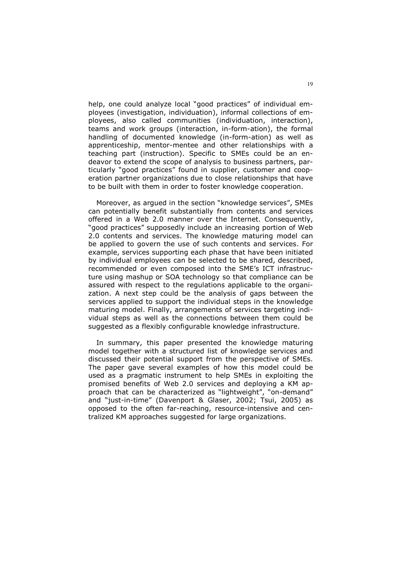help, one could analyze local "good practices" of individual employees (investigation, individuation), informal collections of employees, also called communities (individuation, interaction), teams and work groups (interaction, in-form-ation), the formal handling of documented knowledge (in-form-ation) as well as apprenticeship, mentor-mentee and other relationships with a teaching part (instruction). Specific to SMEs could be an endeavor to extend the scope of analysis to business partners, particularly "good practices" found in supplier, customer and cooperation partner organizations due to close relationships that have to be built with them in order to foster knowledge cooperation.

Moreover, as argued in the section "knowledge services", SMEs can potentially benefit substantially from contents and services offered in a Web 2.0 manner over the Internet. Consequently, "good practices" supposedly include an increasing portion of Web 2.0 contents and services. The knowledge maturing model can be applied to govern the use of such contents and services. For example, services supporting each phase that have been initiated by individual employees can be selected to be shared, described, recommended or even composed into the SME's ICT infrastructure using mashup or SOA technology so that compliance can be assured with respect to the regulations applicable to the organization. A next step could be the analysis of gaps between the services applied to support the individual steps in the knowledge maturing model. Finally, arrangements of services targeting individual steps as well as the connections between them could be suggested as a flexibly configurable knowledge infrastructure.

In summary, this paper presented the knowledge maturing model together with a structured list of knowledge services and discussed their potential support from the perspective of SMEs. The paper gave several examples of how this model could be used as a pragmatic instrument to help SMEs in exploiting the promised benefits of Web 2.0 services and deploying a KM approach that can be characterized as "lightweight", "on-demand" and "just-in-time" (Davenport & Glaser, 2002; Tsui, 2005) as opposed to the often far-reaching, resource-intensive and centralized KM approaches suggested for large organizations.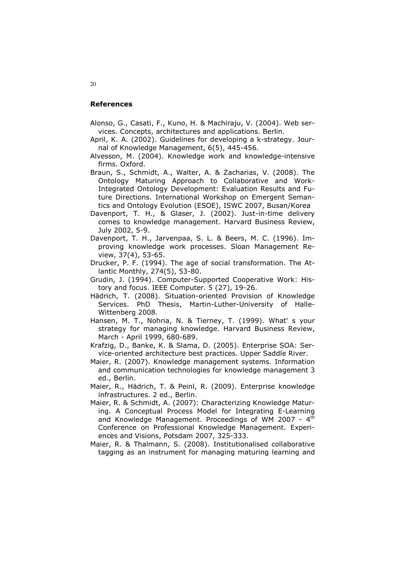#### References

- Alonso, G., Casati, F., Kuno, H. & Machiraju, V. (2004). Web services. Concepts, architectures and applications. Berlin.
- April, K. A. (2002). Guidelines for developing a k-strategy. Journal of Knowledge Management, 6(5), 445-456.
- Alvesson, M. (2004). Knowledge work and knowledge-intensive firms. Oxford.
- Braun, S., Schmidt, A., Walter, A. & Zacharias, V. (2008). The Ontology Maturing Approach to Collaborative and Work-Integrated Ontology Development: Evaluation Results and Future Directions. International Workshop on Emergent Semantics and Ontology Evolution (ESOE), ISWC 2007, Busan/Korea
- Davenport, T. H., & Glaser, J. (2002). Just-in-time delivery comes to knowledge management. Harvard Business Review, July 2002, 5-9.
- Davenport, T. H., Jarvenpaa, S. L. & Beers, M. C. (1996). Improving knowledge work processes. Sloan Management Review, 37(4), 53-65.
- Drucker, P. F. (1994). The age of social transformation. The Atlantic Monthly, 274(5), 53-80.
- Grudin, J. (1994). Computer-Supported Cooperative Work: History and focus. IEEE Computer. 5 (27), 19-26.
- Hädrich, T. (2008). Situation-oriented Provision of Knowledge Services. PhD Thesis, Martin-Luther-University of Halle-Wittenberg 2008.
- Hansen, M. T., Nohria, N. & Tierney, T. (1999). What' s your strategy for managing knowledge. Harvard Business Review, March - April 1999, 680-689.
- Krafzig, D., Banke, K. & Slama, D. (2005). Enterprise SOA: Service-oriented architecture best practices. Upper Saddle River.
- Maier, R. (2007). Knowledge management systems. Information and communication technologies for knowledge management 3 ed., Berlin.
- Maier, R., Hädrich, T. & Peinl, R. (2009). Enterprise knowledge infrastructures. 2 ed., Berlin.
- Maier, R. & Schmidt, A. (2007): Characterizing Knowledge Maturing. A Conceptual Process Model for Integrating E-Learning and Knowledge Management. Proceedings of WM 2007 - 4<sup>th</sup> Conference on Professional Knowledge Management. Experiences and Visions, Potsdam 2007, 325-333.
- Maier, R. & Thalmann, S. (2008). Institutionalised collaborative tagging as an instrument for managing maturing learning and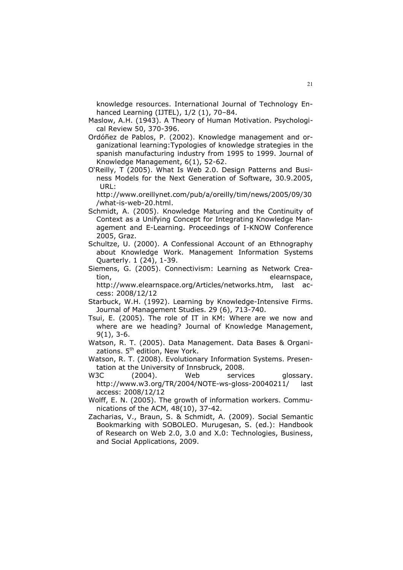knowledge resources. International Journal of Technology Enhanced Learning (IJTEL), 1/2 (1), 70–84.

- Maslow, A.H. (1943). A Theory of Human Motivation. Psychological Review 50, 370-396.
- Ordóñez de Pablos, P. (2002). Knowledge management and organizational learning:Typologies of knowledge strategies in the spanish manufacturing industry from 1995 to 1999. Journal of Knowledge Management, 6(1), 52-62.
- O'Reilly, T (2005). What Is Web 2.0. Design Patterns and Business Models for the Next Generation of Software, 30.9.2005, URL:

http://www.oreillynet.com/pub/a/oreilly/tim/news/2005/09/30 /what-is-web-20.html.

- Schmidt, A. (2005). Knowledge Maturing and the Continuity of Context as a Unifying Concept for Integrating Knowledge Management and E-Learning. Proceedings of I-KNOW Conference 2005, Graz.
- Schultze, U. (2000). A Confessional Account of an Ethnography about Knowledge Work. Management Information Systems Quarterly. 1 (24), 1-39.
- Siemens, G. (2005). Connectivism: Learning as Network Creation, tion, the contract of the contract of the elearnspace, the elearns of the contract of the elearns of the contract of the contract of the contract of the contract of the contract of the contract of the contract of the

http://www.elearnspace.org/Articles/networks.htm, last access: 2008/12/12

- Starbuck, W.H. (1992). Learning by Knowledge-Intensive Firms. Journal of Management Studies. 29 (6), 713-740.
- Tsui, E. (2005). The role of IT in KM: Where are we now and where are we heading? Journal of Knowledge Management, 9(1), 3-6.
- Watson, R. T. (2005). Data Management. Data Bases & Organizations. 5<sup>th</sup> edition, New York.

Watson, R. T. (2008). Evolutionary Information Systems. Presentation at the University of Innsbruck, 2008.

- W3C (2004). Web services glossary. http://www.w3.org/TR/2004/NOTE-ws-gloss-20040211/ last access: 2008/12/12
- Wolff, E. N. (2005). The growth of information workers. Communications of the ACM, 48(10), 37-42.
- Zacharias, V., Braun, S. & Schmidt, A. (2009). Social Semantic Bookmarking with SOBOLEO. Murugesan, S. (ed.): Handbook of Research on Web 2.0, 3.0 and X.0: Technologies, Business, and Social Applications, 2009.